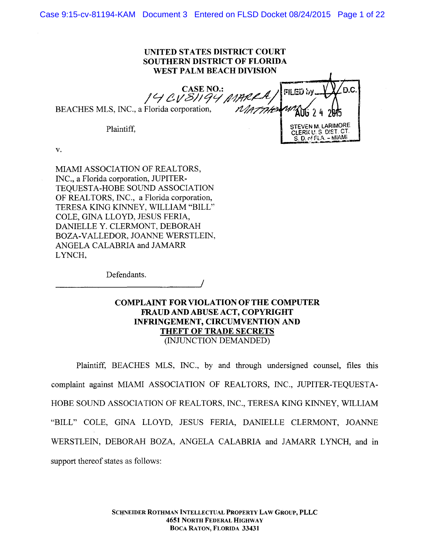Case 9:15-cv-81194-KAM Document 3 Entered on FLSD Docket 08/24/2015 Page 1 of 22

## UNITED STATES DISTRICT COURT UNITED STATES DISTRICT COURT SOUTHERN DISTRICT OF FLORIDA WEST PALM BEACH DIVISION

BEACHES MLS, INC., a Florida corporation,  $\mathcal{N}$ ATTHED  $\frac{14}{14}$  CV  $\frac{31}{94}$  MARRA  $\frac{1}{14}$ <br>BEACHES MLS, INC., a Florida corporation, *MATTHE WAN*G 2 4 2015

Plaintiff,

 $(14 C V 8)/194$  MARRA/FILED by  $\sqrt{20}$ .C. Plaintiff STEVEN M. LARIMORE , CLERK U. S. DIST. CT.<br>S. D. of FLA. - MIAMI<br>S. D. of FLA. - MIAMI STEVEN M.  $S. D. of FLA. - MIAMI$ 

v.

MIAMI ASSOCIATION OF REALTORS, lN C., a Florida corporation, JUPITER-INC., a Florida corporation, JUPITER-TEQUESTA-HOBE SOUND ASSOCIATION TEQUESTA-HOBE SOUND ASSOCIATION OF REALTORS, INC., a Florida corporation, TERESA KING KINNEY, WILLIAM "BILL" COLE, GINA LLOYD, JESUS FERIA, DANIELLE Y. CLERMONT, DEBORAH BOZA-VALLEDOR, JOANNE WERSTLEIN, ANGELA CALABRIA and JAMARR LYNCH,

Defendants.

*\_\_\_\_\_\_\_\_\_\_ ------------------J*<sup>1</sup>

# COMPLAINT FOR VIOLATION OF THE COMPUTER FRAUD AND ABUSE ACT, COPYRIGHT INFRINGEMENT, CIRCUMVENTION AND THEFT OF TRADE SECRETS THEFT OF TRADE SECRETS<br>(INJUNCTION DEMANDED)

/

Plaintiff, BEACHES MLS, INC., by and through undersigned counsel, files this complaint against MIAMI ASSOCIATION OF REALTORS, INC., JUPITER-TEQUESTA-HOBE SOUND ASSOCIATION OF REALTORS, INC., TERESA KING KINNEY, WILLIAM "BILL" COLE, GINA LLOYD, JESUS FERIA, DANIELLE CLERMONT, JOANNE WERSTLEIN, DEBORAH BOZA, ANGELA CALABRIA and JAMARR LYNCH, and in support thereof states as follows: support thereof states as follows: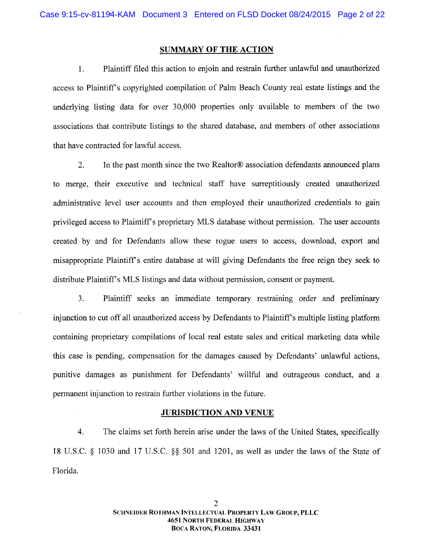## **SUMMARY OF THE ACTION**

Plaintiff filed this action to enjoin and restrain further unlawful and unauthorized 1. Plaintiff filed this action to enjoin and restrain further unlawful and unauthorized access to Plaintiff's copyrighted compilation of Palm Beach County real estate listings and the underlying listing data for over 30,000 properties only available to members of the two associations that contribute listings to the shared database, and members of other associations that have contracted for lawful access. that have contracted for lawful access.

2. In the past month since the two Realtor® association defendants announced plans to merge, their executive and technical staff have surreptitiously created unauthorized to merge, their executive and technical staff have surreptitiously created unauthorized administrative level user accounts and then employed their unauthorized credentials to gain administrative level user accounts and then employed their unauthorized credentials to gain privileged access to Plaintiff's proprietary MLS database without permission. The user accounts created by and for Defendants allow these rogue users to access, download, export and created by and for Defendants allow these rogue users to access, download, export and misappropriate Plaintiff's entire database at will giving Defendants the free reign they seek to distribute Plaintiff's MLS listings and data without permission, consent or payment.

3. Plaintiff seeks an immediate temporary restraining order and preliminary injunction to cut off al1 unauthorized access by Defendants to Plaintiff s multiple listing platform injunction to cut off all unauthorized access by Defendants to Plaintiff s multiple listing platform containing proprietary compilations of local real estate sales and critical marketing data while this case is pending, compensation for the damages caused by Defendants' unlawful actions, punitive dam ages as punishment for Defendants' willful and outrageous conduct, and a punitive damages as punishment for Defendants' willful and outrageous conduct, and a permanent injunction to restrain further violations in the future. permanent injunction to restrain further violations in the future.

### <u>JURISDICTION AND VENUE</u>

4. The claim s set forth herein arise under the laws of the United States, specifically 4. The claims set forth herein arise under the laws of the United States, specifically 18 U.S.C.  $\S$  1030 and 17 U.S.C.  $\S$  $\S$  501 and 1201, as well as under the laws of the State of Florida. Florida.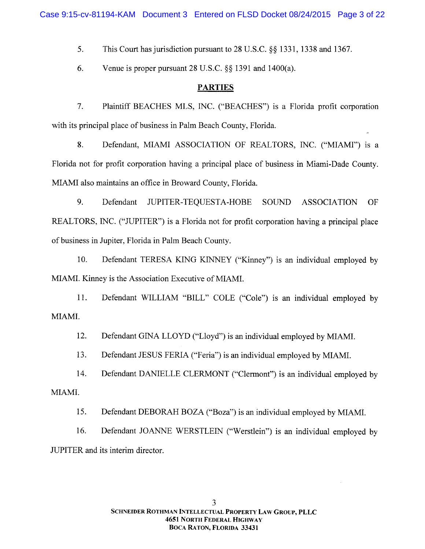5. 5. This Court has jurisdiction pursuant to  $28$  U.S.C.  $\S$ § 1331, 1338 and 1367.

6. 6. Venue is proper pursuant  $28 \text{ U.S.C.}$   $\S\S$  1391 and 1400(a).

## PARTIES PARTIES

7. Plaintiff BEACHES MLS, INC. ("BEACHES") is a Florida profit corporation w ith its principal place of business in Palm Beach County, Florida. with its principal place of business in Palm Beach County, Florida.

8. Defendant, MIAMI ASSOCIATION OF REALTORS, INC. ("MIAMI") is a Florida not for profit corporation having a principal place of business in Miami-Dade County. M IAM I also m aintains an office in Broward County, Florida. MIAMI also maintains an office in Broward County, Florida.

Defendant JUPITER-TEQUESTA-HOBE SOUND ASSOCIATION OF 9. Defendant JUPITER-TEQUESTA-HOBE SOUND ASSOCIATION OF REALTORS, INC. ("JUPITER") is a Florida not for profit corporation having a principal place of business in Jupiter, Florida in Palm Beach County. of business in Jupiter, Florida in Palm Beach County.

10. Defendant TERESA KING KINNEY ("Kinney") is an individual employed by MIAMI. Kinney is the Association Executive of MIAMI.

11. Defendant WILLIAM "BILL" COLE ("Cole") is an individual employed by MIAMI.

12. Defendant GINA LLOYD ("Lloyd") is an individual employed by MIAMI.

13. Defendant JESUS FERIA ("Feria") is an individual employed by MIAMI.

14. Defendant DANIELLE CLERMONT ("Clermont") is an individual employed by MIAMI.

15. Defendant DEBORAH BOZA ("Boza") is an individual employed by MIAMI.

16. Defendant JOANNE WERSTLEIN ("Werstlein") is an individual employed by JUPITER and its interim director. JUPITER and its interim director.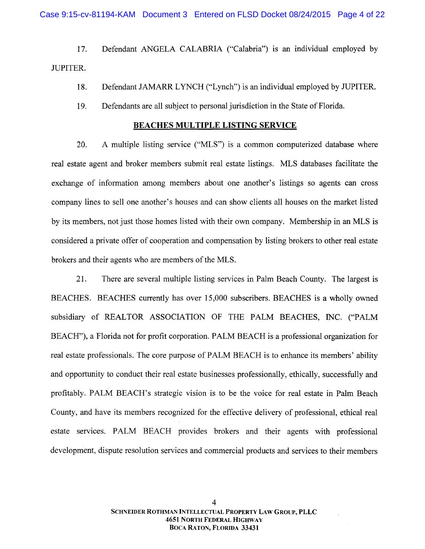17. Defendant ANGELA CALABRIA ("Calabria") is an individual employed by JUPITER . JUPITER.

- 18. Defendant JAMARR LYNCH ("Lynch") is an individual employed by JUPITER.
- 19. Defendants are all subject to personal jurisdiction in the State of Florida.

#### BEACHES MULTIPLE LISTING SERVICE

BEACHES MULTIPLE LISTING SERVICE<br>20. A multiple listing service ("MLS") is a common computerized database where real estate agent and broker members submit real estate listings. MLS databases facilitate the exchange of information among members about one another's listings so agents can cross company lines to sell one another's houses and can show clients all houses on the market listed by its members, not just those homes listed with their own company. Membership in an MLS is considered a private offer of cooperation and compensation by listing brokers to other real estate brokers and their agents who are members of the MLS.

21. There are several multiple listing services in Palm Beach County. The largest is BEACHES. BEACHES currently has over 15,000 subscribers. BEACHES is a wholly owned subsidiary of REALTOR ASSOCIATION OF THE PALM BEACHES, INC. ("PALM BEACH''), a Florida not for profit corporation. PALM BEACH is a professional organization for BEACH"), a Florida not for profit corporation. PALM BEACH is a professional organization for real estate professionals. The core purpose of PALM BEACH is to enhance its members' ability and opporttmity to conduct their real estate businesses professionally, ethically, successfully and and opportunity to conduct their real estate businesses professionally, ethically, successfully and profitably. PALM BEACH's strategic vision is to be the voice for real estate in Palm Beach County, and have its members recognized for the effective delivery of professional, ethical real estate services. PALM BEACH provides brokers and their agents with professional estate services. PALM BEACH provides brokers and their agents with professional development, dispute resolution services and commercial products and services to their members development, dispute resolution services and commercial products and services to their members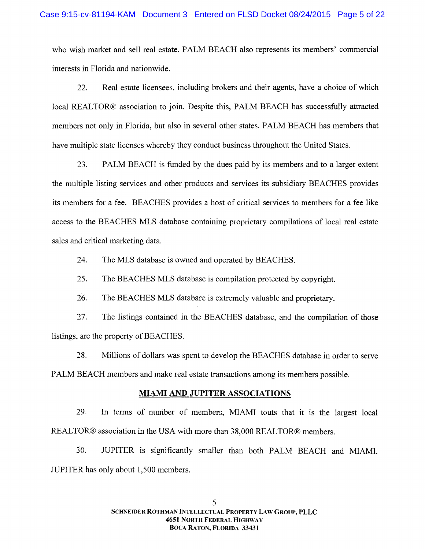who wish market and sell real estate. PALM BEACH also represents its members' commercial interests in Florida and nationwide. interests in Florida and nationwide.

22. Real estate licensees, including brokers and their agents, have a choice of which 22. Real estate licensees, including brokers and their agents, have a choice of which local REALTOR@ association to join. Despite this, PALM BEACH has successfully attracted local REAL TOR® association to join. Despite this, PALM BEACH has successfully attracted members not only in Florida, but also in several other states. PALM BEACH has members that have multiple state licenses whereby they conduct business throughout the United States.

23. PALM BEACH is funded by the dues paid by its mem bers and to a larger extent 23. PALM BEACH is funded by the dues paid by its members and to a larger extent the multiple listing services and other products and services its subsidiary BEACHES provides its members for a fee. BEACHES provides a host of critical services to members for a fee like access to the BEACHES MLS database containing proprietary compilations of local real estate sales and critical marketing data.

24. The MLS database is owned and operated by BEACHES.

25. The BEACHES MLS database is compilation protected by copyright.

26. The BEACHES MLS database is extremely valuable and proprietary.

27. The listings contained in the BEACHES database, and the compilation of those listings, are the property of BEACHES.

28. M illions of dollars was spent to develop the BEACHES database in order to serve 28. Millions of dollars was spent to develop the BEACHES database in order to serve PALM BEACH members and make real estate transactions among its members possible.

## **MIAMI AND JUPITER ASSOCIATIONS**

29. In terms of number of members, MIAMI touts that it is the largest local REALTOR® association in the USA with more than 38,000 REALTOR® members.

30. JUPITER is significantly smaller than both PALM BEACH and MIAMI. JUPITER has only about 1,500 mem bers. JUPITER has only about 1,500 members.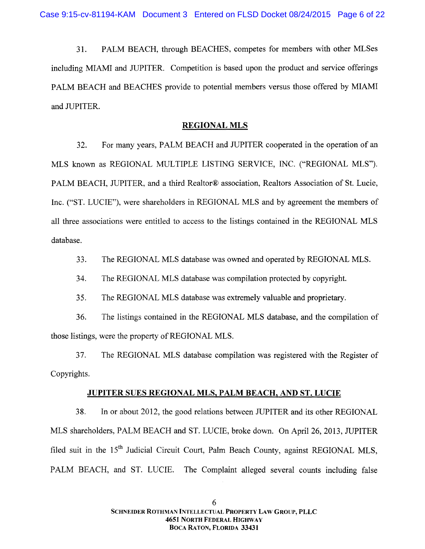31. PALM BEACH, through BEACHES, competes for members with other MLSes including MIAMI and JUPITER. Competition is based upon the product and service offerings PALM BEACH and BEACHES provide to potential members versus those offered by MIAMI and JUPITER. and JUPITER.

## **REGIONAL MLS**

32. For many years, PALM BEACH and JUPITER cooperated in the operation of an 32. For many years, PALM BEACH and JUPITER cooperated in the operation of an MLS known as REGIONAL MULTIPLE LISTING SERVICE, INC. ("REGIONAL MLS"). PALM BEACH, JUPITER, and a third Realtor® association, Realtors Association of St. Lucie, Inc. ("ST. LUCIE"), were shareholders in REGIONAL MLS and by agreement the members of all three associations were entitled to access to the listings contained in the REGIONAL MLS database. database.

33. The REGIONAL MLS database was owned and operated by REGIONAL MLS.

34. The REGIONAL MLS database was compilation protected by copyright.

35. The REGIONAL MLS database was extremely valuable and proprietary.

35. The REGIONAL MLS database was extremely valuable and proprietary.<br>36. The listings contained in the REGIONAL MLS database, and the compilation of those listings, were the property of REGIONAL MLS.

37. The REGIONAL MLS database compilation was registered with the Register of Copyrights. Copyrights.

# JUPITER SUES REGIONAL MLS, PALM BEACH, AND ST. LUCIE

38. In or about 2012, the good relations between JUPITER and its other REGIONAL 38. In or about 2012, the good relations between JUPITER and its other REGIONAL M LS shareholders, PALM BEACH and ST. LUCIE, broke down. On April 26, 2013, JUPITER MLS shareholders, PALM BEACH and ST. LUCIE, broke down. On April 26, 2013, JUPITER filed suit in the 15<sup>th</sup> Judicial Circuit Court, Palm Beach County, against REGIONAL MLS, PALM BEACH, and ST. LUCIE. The Complaint alleged several counts including false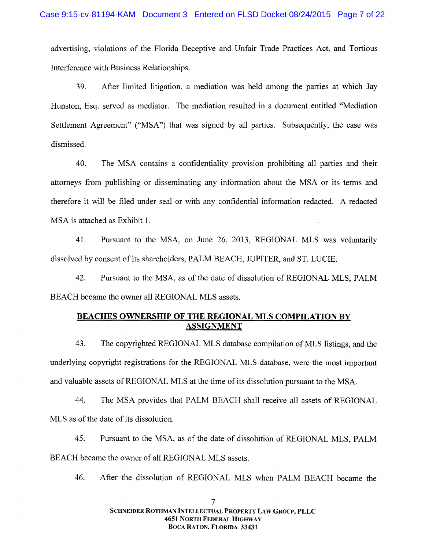advertising, violations of the Florida Deceptive and Unfair Trade Practices Act, and Tortious advertising, violations of the Florida Deceptive and Unfair Trade Practices Act, and Tortious Interference with Business Relationships. Interference with Business Relationships.

After lim ited litigation, a m ediation was held am ong the parties at which Jay 39. After limited litigation, a mediation was held among the parties at which Jay Hunston, Esq. served as mediator. The mediation resulted in a document entitled "Mediation Settlement Agreement" ("MSA") that was signed by all parties. Subsequently, the case was dismissed. dismissed.

40. The MSA contains a confidentiality provision prohibiting all parties and their attorneys from publishing or disseminating any information about the MSA or its terms and therefore it will be filed under seal or with any confidential information redacted. A redacted therefore it will be filed under seal or with any confidential information redacted. A redacted M SA is attached as Exhibit l . MSA is attached as Exhibit 1.

41. Pursuant to the MSA, on June 26, 2013, REGIONAL MLS was voluntarily dissolved by consent of its shareholders, PALM BEACH, JUPITER, and ST. LUCIE.

42. Pursuant to the MSA, as of the date of dissolution of REGIONAL MLS, PALM BEACH became the owner all REGIONAL MLS assets.

# **BEACHES OWNERSHIP OF THE REGIONAL MLS COMPILATION BY ASSIGNMENT**

43. The copyrighted REGIONAL MLS database compilation of MLS listings, and the underlying copyright registrations for the REGIONAL MLS database, were the most important and valuable assets of REGIONAL MLS at the time of its dissolution pursuant to the MSA.

44. The MSA provides that PALM BEACH shall receive all assets of REGIONAL M LS as of the date of its dissolution. MLS as of the date of its dissolution.

45. Pursuant to the MSA, as of the date of dissolution of REGIONAL MLS, PALM BEACH became the owner of all REGIONAL MLS assets.

46. After the dissolution of REGIONAL MLS when PALM BEACH became the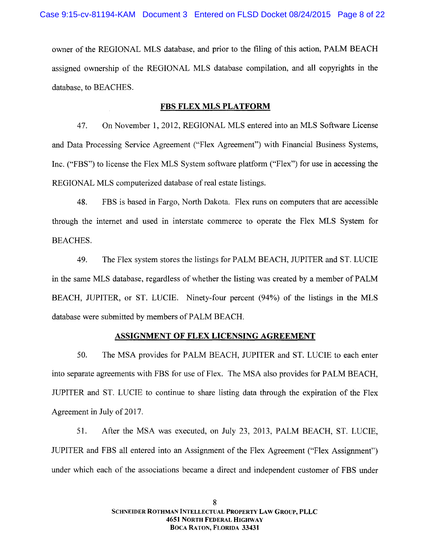owner of the REGIONAL MLS database, and prior to the filing of this action, PALM BEACH assigned ownership of the REGIONAL MLS database compilation, and all copyrights in the database, to BEACHES. database, to BEACHES.

# **FBS FLEX MLS PLATFORM**

47. On November 1, 2012, REGIONAL MLS entered into an MLS Software License and Data Processing Service Agreement ("Flex Agreement") with Financial Business Systems, Inc. ("FBS") to license the Flex MLS System software platform ("Flex") for use in accessing the REGIONAL MLS computerized database of real estate listings.

48. FBS is based in Fargo, North Dakota. Flex runs on computers that are accessible through the internet and used in interstate commerce to operate the Flex MLS System for BEACHES. BEACHES.

49. The Flex system stores the listings for PALM BEACH, JUPITER and ST. LUCIE 49. The Flex system stores the listings for PALM BEACH, JUPITER and ST. LUCIE in the same MLS database, regardless of whether the listing was created by a member of PALM BEACH, JUPITER, or ST. LUCIE. Ninety-four percent (94%) of the listings in the MLS database were submitted by members of PALM BEACH.

# ASSIGNMENT OF FLEX LICENSING AGREEMENT

50. The MSA provides for PALM BEACH, JUPITER and ST. LUCIE to each enter into separate agreements with FBS for use of Flex. The MSA also provides for PALM BEACH, JUPITER and ST. LUCIE to continue to share listing data through the expiration of the Flex JUPITER and ST. LUCIE to continue to share listing data through the expiration of the Flex Agreement in July of 2017.

51. After the MSA was executed, on July 23, 2013, PALM BEACH, ST. LUCIE, JUPITER and FBS all entered into an Assignment of the Flex Agreement ("Flex Assignment") under which each of the associations became a direct and independent customer of FBS under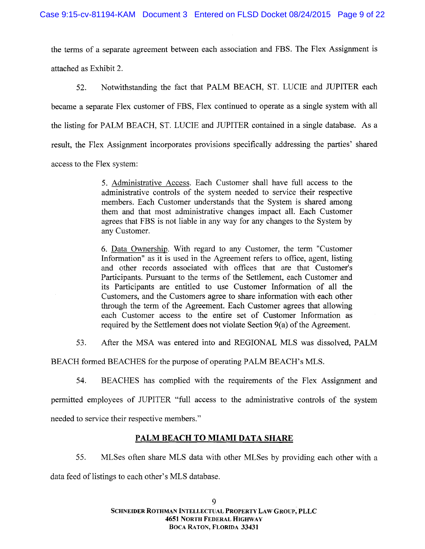the terms of a separate agreement between each association and FBS. The Flex Assignment is attached as Exhibit 2. attached as Exhibit 2.

Notwithstanding the fact that PALM BEACH, ST. LUCIE and JUPITER each 52. Notwithstanding the fact that PALM BEACH, ST. LUCIE and JUPITER each became a separate Flex customer of FBS, Flex continued to operate as a single system with all the listing for PALM BEACH, ST. LUCIE and JUPITER contained in a single database. As a result, the Flex Assignment incorporates provisions specifically addressing the parties' shared access to the Flex system : access to the Flex system:

> 5. Administrative Access. Each Customer shall have full access to the adm inistrative controls of the system needed to service their respective administrative controls of the system needed to service their respective members. Each Customer understands that the System is shared among them and that most administrative changes impact all. Each Customer agrees that FBS is not liable in any way for any changes to the System by agrees that FBS is not liable in any way for any changes to the System by any Customer.

> 6. Data Ownership. With regard to any Customer, the term "Customer Information" as it is used in the Agreement refers to office, agent, listing and other records associated with offices that are that Customer's Participants. Pursuant to the terms of the Settlement, each Customer and its Participants are entitled to use Customer Information of all the Customers, and the Customers agree to share information with each other through the term of the Agreement. Each Customer agrees that allowing each Customer access to the entire set of Customer Information as required by the Settlement does not violate Section 9(a) of the Agreement.

53. After the MSA was entered into and REGIONAL MLS was dissolved, PALM

BEACH formed BEACHES for the purpose of operating PALM BEACH's MLS.

54. BEACHES has complied with the requirements of the Flex Assignment and permitted employees of JUPITER "full access to the administrative controls of the system needed to service their respective members."

# PALM BEACH TO MIAMI DATA SHARE

55. MLSes often share MLS data with other MLSes by providing each other with a data feed of listings to each other's MLS database.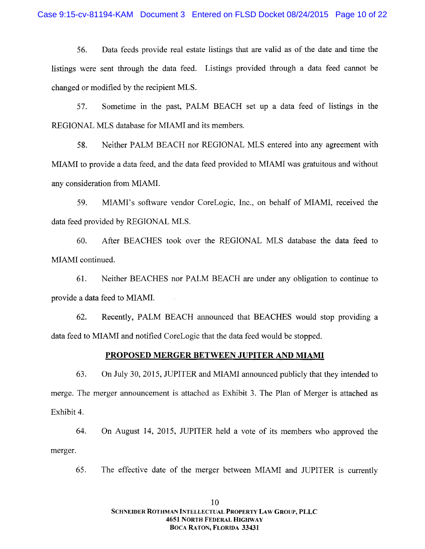56. Data feeds provide real estate listings that are valid as of the date and time the 56. Data feeds provide real estate listings that are valid as of the date and time the listings were sent through the data feed. Listings provided through a data feed cannot be changed or modified by the recipient MLS.

57. Sometime in the past, PALM BEACH set up a data feed of listings in the REGIONAL MLS database for MIAMI and its members.

58. Neither PALM BEACH nor REGIONAL MLS entered into any agreement with MIAMI to provide a data feed, and the data feed provided to MIAMI was gratuitous and without any consideration from MIAMI.

59. MIAMI's software vendor CoreLogic, Inc., on behalf of MIAMI, received the data feed provided by REGIONAL MLS.

60. After BEACHES took over the REGIONAL MLS database the data feed to MIAMI continued.

61. N either BEACHES nor PALM BEACH are under any obligation to continue to 61. Neither BEACHES nor PALM BEACH are under any obligation to continue to provide a data feed to MIAMI.

62. Recently, PALM BEACH announced that BEACHES would stop providing a data feed to MIAMI and notified CoreLogic that the data feed would be stopped.<br>PROPOSED MERGER BETWEEN JUPITER AND MIAMI

#### PROPOSED MERGER BETWEEN JUPITER AND MIAMI

63. On July 30, 2015, JUPITER and MIAMI announced publicly that they intended to merge. The merger announcement is attached as Exhibit 3. The Plan of Merger is attached as Exhibit 4. Exhibit 4.

64. On August 14, 2015, JUPITER held a vote of its members who approved the merger.

65. The effective date of the merger between MIAMI and JUPITER is currently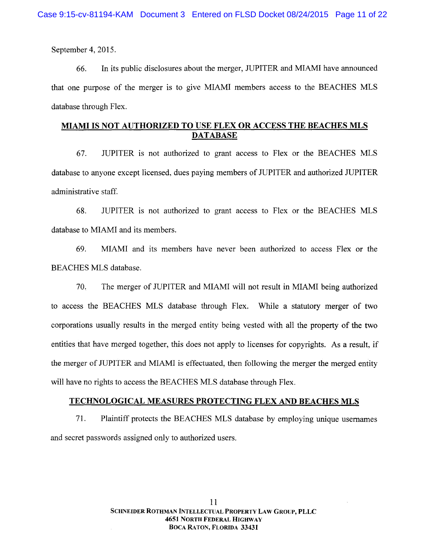September 4, 2015. September 4,2015.

66. In its public disclosures about the merger, JUPITER and MIAMI have announced that one purpose of the merger is to give MIAMI members access to the BEACHES MLS database through Flex. database through Flex.

# <u>MIAMI IS NOT AUTHORIZED TO USE FLEX OR ACCESS THE BEACHES MLS</u> DATABASE

67. JUPITER is not authorized to grant access to Flex or the BEACHES MLS database to anyone except licensed, dues paying members of JUPITER and authorized JUPITER adm inistrative staff. administrative staff.

68. JUPITER is not authorized to grant access to Flex or the BEACHES MLS database to MIAMI and its members.

69. M IAM I and its mem bers have never been authorized to aecess Flex or the 69. MIAMI and its members have never been authorized to access Flex or the BEACHES MLS database.

70. The merger of JUPITER and MIAMI will not result in MIAMI being authorized to access the BEACHES MLS database through Flex. While a statutory merger of two corporations usually results in the merged entity being vested with all the property of the two entities that have merged together, this does not apply to licenses for copyrights. As a result, if the merger of JUPITER and MIAMI is effectuated, then following the merger the merged entity will have no rights to access the BEACHES MLS database through Flex.

# will have no rights to access the BEACHES MLS database through Flex.<br>TECHNOLOGICAL MEASURES PROTECTING FLEX AND BEACHES MLS

71. Plaintiff protects the BEACHES MLS database by employing unique usernames and secret passwords assigned only to authorized users. and secret passwords assigned only to authorized users.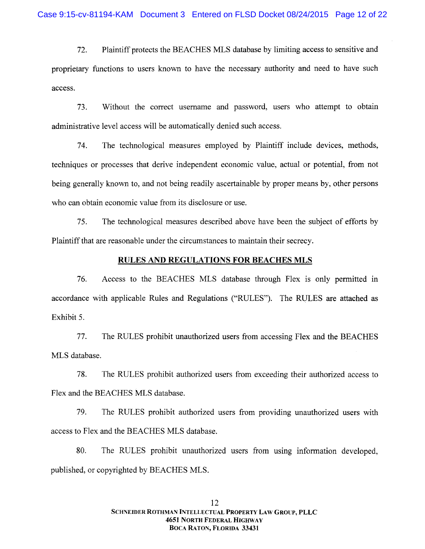72. Plaintiff protects the BEACHES MLS database by limiting access to sensitive and proprietary functions to users known to have the necessary authority and need to have such proprietary functions to users known to have the necessary authority and need to have such aCCCSS. access.

W ithout the correct usem ame and password, users who attempt to obtain 73. Without the correct usemame and password, users who attempt to obtain adm inistrative level access will be autom atically denied such access. administrative level access will be automatically denied such access.

74. The technological m easures em ployed by Plaintiff include devices, methods, 74. The technological measures employed by Plaintiff include devices, methods, techniques or processes that derive independent economic value, actual or potential, from not being generally known to, and not being readily ascertainable by proper means by, other persons who can obtain economic value from its disclosure or use. who can obtain economic value from its disclosure or use.

75. The technological measures described above have been the subject of efforts by 75. The technological measures described above have been the subject of efforts by Plaintiff that are reasonable under the circumstances to maintain their secrecy.

## RULES AND REGULATIONS FOR BEACHES MLS

76. Access to the BEACHES MLS database through Flex is only permitted in accordance with applicable Rules and Regulations ("RULES"). The RULES are attached as Exhibit 5. Exhibit 5.

77. The RULES prohibit unauthorized users from accessing Flex and the BEACHES 77. The RULES prohibit unauthorized users from accessing Flex and the BEACHES MLS database.

78. The RULES prohibit authorized users from exceeding their authorized access to 78. The RULES prohibit authorized users from exceeding their authorized access to Flex and the BEACHES MLS database.

79. The RULES prohibit authorized users from providing unauthorized users with 79. The RULES prohibit authorized users from providing unauthorized users with access to Flex and the BEACHES MLS database.

80. The RULES prohibit unauthorized users from using information developed, published, or copyrighted by BEACHES MLS.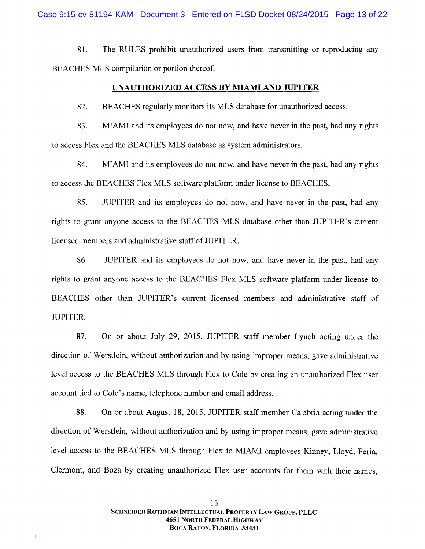81. The RULES prohibit unauthorized users from transmitting or reproducing any BEACHES MLS compilation or portion thereof.

# UNAUTHORIZED ACCESS BY MIAMI AND JUPITER

82. BEACHES regularly monitors its MLS database for unauthorized access.

83. MIAMI and its employees do not now, and have never in the past, had any rights to access Flex and the BEACHES MLS database as system administrators.

84. MIAMI and its employees do not now, and have never in the past, had any rights to access the BEACHES Flex MLS software platform under license to BEACHES.

85. JUPITER and its em ployees do not now, and have never in the past, had any 85. JUPITER and its employees do not now, and have never in the past, had any rights to grant anyone access to the BEACHES MLS database other than JUPITER's current licensed members and administrative staff of JUPITER. licensed members and administrative staff of JUPITER.

86. JUPITER and its employees do not now, and have never in the past, had any rights to grant anyone access to the BEACHES Flex MLS software platform under license to BEACHES other than JUPITER's current licensed members and administrative staff of JUPITER. JUPITER.

87. On or about July 29, 2015, JUPITER staff member Lynch acting under the direction of Werstlein, without authorization and by using improper means, gave administrative level access to the BEACHES MLS through Flex to Cole by creating an unauthorized Flex user account tied to Cole's name, telephone number and email address.

account tied to Cole's name, telephone number and email address.<br>88. On or about August 18, 2015, JUPITER staff member Calabria acting under the direction of Werstlein, without authorization and by using improper means, gave administrative level access to the BEACHES MLS through Flex to MIAMI employees Kinney, Lloyd, Feria, Clermont, and Boza by creating unauthorized Flex user accounts for them with their names,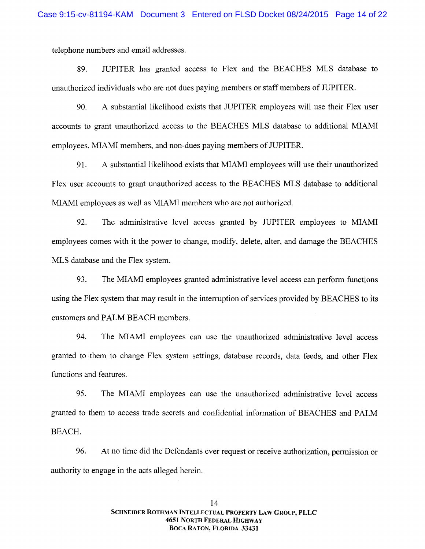telephone num bers and email addresses. telephone numbers and email addresses.

89. JUPITER has granted access to Flex and the BEACHES MLS database to unauthorized individuals who are not dues paying members or staff members of JUPITER.

90. A substantial likelihood exists that JUPITER employees will use their Flex user accounts to grant unauthorized access to the BEACHES MLS database to additional MIAMI employees, MIAMI members, and non-dues paying members of JUPITER.

91. A substantial likelihood exists that MIAMI employees will use their unauthorized Flex user accounts to grant unauthorized access to the BEACHES MLS database to additional MIAMI employees as well as MIAMI members who are not authorized.

92. The administrative level access granted by JUPITER employees to MIAMI employees comes with it the power to change, modify, delete, alter, and damage the BEACHES MLS database and the Flex system.

93. The MIAMI employees granted administrative level access can perform functions using the Flex system that may result in the interruption of services provided by BEACHES to its customers and PALM BEACH members.

94. The MIAMI employees can use the unauthorized administrative level access granted to them to change Flex system settings, database records, data feeds, and other Flex granted to them to change Flex system settings, database records, data feeds, and other Flex functions and features.

95. The MIAMI employees can use the unauthorized administrative level access granted to them to access trade secrets and confidential information of BEACHES and PALM BEACH.

96. At no time did the Defendants ever request or receive authorization, permission or authority to engage in the acts alleged herein. authority to engage in the acts alleged herein.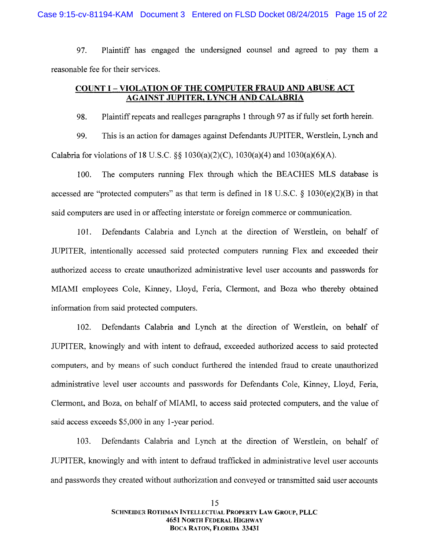Plaintiff has engaged the undersigned counsel and agreed to pay them a 97. Plaintiff has engaged the undersigned counsel and agreed to pay them a reasonable fee for their services. reasonable fee for their services.

# **COUNT I - VIOLATION OF THE COMPUTER FRAUD AND ABUSE ACT** AGAINST JUPITER. LYNCH AND CALABRIA AGAINST JUPITER, LYNCH AND CALABRIA

98. Plaintiff repeats and realleges paragraphs 1 through 97 as if fully set forth herein. 98. Plaintiff repeats and realleges paragraphs I through 97 as if fully set forth herein.

99. This is an action for damages against Defendants JUPITER, Werstlein, Lynch and Calabria for violations of 18 U.S.C.  $\S\S 1030(a)(2)(C)$ ,  $1030(a)(4)$  and  $1030(a)(6)(A)$ .

100. The computers running Flex through which the BEACHES MLS database is accessed are "protected computers" as that term is defined in 18 U.S.C.  $\S$  1030(e)(2)(B) in that said computers are used in or affecting interstate or foreign commerce or communication.

101. Defendants Calabria and Lynch at the direction of Werstlein, on behalf of JUPITER, intentionally accessed said protected computers running Flex and exceeded their authorized access to create unauthorized administrative level user accounts and passwords for MIAMI employees Cole, Kinney, Lloyd, Feria, Clermont, and Boza who thereby obtained information from said protected computers.

102. Defendants Calabria and Lynch at the direction of Werstlein, on behalf of JUPITER, knowingly and with intent to defraud, exceeded authorized access to said protected JUPITER, knowingly and with intent to defraud, exceeded authorized access to said protected computers, and by means of such conduct furthered the intended fraud to create unauthorized administrative level user accounts and passwords for Defendants Cole, Kinney, Lloyd, Feria, Clermont, and Boza, on behalf of MIAMI, to access said protected computers, and the value of said access exceeds \$5,000 in any 1-year period. said access exceeds \$5,000 in any l-year period.

103. Defendants Calabria and Lynch at the direction of Werstlein, on behalf of JUPITER, knowingly and with intent to defraud trafficked in administrative level user accounts and passwords they created without authorization and conveyed or transmitted said user accounts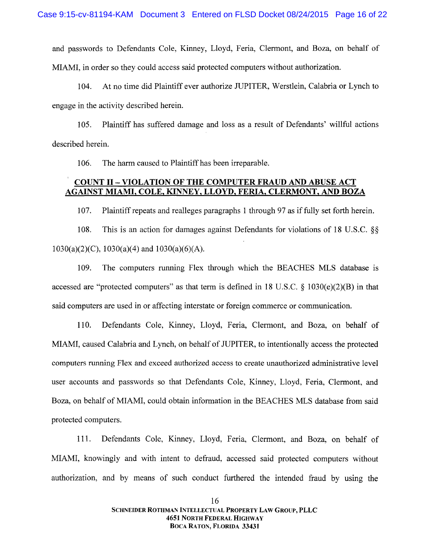and passwords to Defendants Cole, Kinney, Lloyd, Feria, Clermont, and Boza, on behalf of M IAM I, in order so they could access said protected computers w ithout authorization. MIAMI, in order so they could access said protected computers without authorization.

104. At no time did Plaintiff ever authorize JUPITER, Werstlein, Calabria or Lynch to engage in the activity described herein. engage in the activity described herein.

105. Plaintiff has suffered dam age and loss as a result of Defendants' willful actions 105. Plaintiff has suffered damage and loss as a result of Defendants' willful actions described herein. described herein.

106. The harm caused to Plaintiff has been irreparable.

# **COUNT II – VIOLATION OF THE COMPUTER FRAUD AND ABUSE ACT** AGAINST MIAMI, COLE, KINNEY, LLOYD, FERIA, CLERMONT, AND BOZA

Plaintiff repeats and realleges paragraphs 1 through 97 as if fully set forth herein. 107. Plaintiff repeats and realleges paragraphs 1 through 97 as if fully set forth herein.

108. This is an action for damages against Defendants for violations of 18 U.S.C.  $\S$ 1030(a)(2)(C), 1030(a)(4) and 1030(a)(6)(A). 1030(a)(2)(C), 1030(a)(4) and 1030(a)(6)(A).

109. The computers running Flex through which the BEACHES MLS database is accessed are "protected computers" as that term is defined in 18 U.S.C.  $\S$  1030(e)(2)(B) in that said computers are used in or affecting interstate or foreign commerce or communication.

1 10. Defendants Cole, Kinney, Lloyd, Feria, Clermont, and Boza, on behalf of 110. Defendants Cole, Kinney, Lloyd, Feria, Clermont, and Boza, on behalf of M IAM I, caused Calabria and Lynch, on behalf of JUPITER, to intentionally access the protected MIAMI, caused Calabria and Lynch, on behalf of JUPITER, to intentionally access the protected computers running Flex and exceed authorized access to create unauthorized administrative level user accounts and passwords so that Defendants Cole, Kinney, Lloyd, Feria, Clermont, and user accounts and passwords so that Defendants Cole, Kinney, Lloyd, Feria, Clermont, and<br>Boza, on behalf of MIAMI, could obtain information in the BEACHES MLS database from said protected computers.

Defendants Cole, Kinney, Lloyd, Feria, Clermont, and Boza, on behalf of 111. Defendants Cole, Kinney, Lloyd, Feria, Clermont, and Boza, on behalf of M IAM I, knowingly and with intent to defraud, accessed said protected computers without MIAMI, knowingly and with intent to defraud, accessed said protected computers without authorization, and by means of such conduct furthered the intended fraud by using the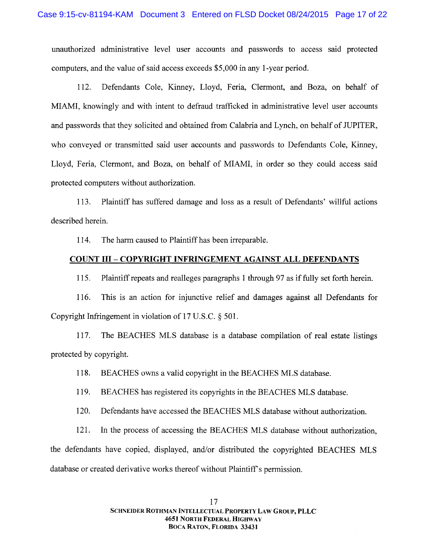unauthorized administrative level user accounts and passwords to access said protected unauthorized administrative level user accounts and passwords to access said protected computers, and the value of said access exceeds \$5,000 in any l-year period. computers, and the value of said access exceeds \$5,000 in any I-year period.

112. Defendants Cole, Kinney, Lloyd, Feria, Clermont, and Boza, on behalf of MIAMI, knowingly and with intent to defraud trafficked in administrative level user accounts and passwords that they solicited and obtained from Calabria and Lynch, on behalf of JUPITER, and passwords that they solicited and obtained from Calabria and Lynch, on behalf of JUPITER, who conveyed or transmitted said user accounts and passwords to Defendants Cole, Kinney, Lloyd, Feria, Clermont, and Boza, on behalf of MIAMI, in order so they could access said protected computers without authorization. protected computers without authorization.

1 13. Plaintiff has suffered dam age and loss as a result of Defendants' willful actions 113. Plaintiff has suffered damage and loss as a result of Defendants' willful actions described herein. described herein.

1 14. The harm caused to Plaintiff has been irreparable. 114. The harm caused to Plaintiff has been irreparable.

# **COUNT III - COPYRIGHT INFRINGEMENT AGAINST ALL DEFENDANTS**

1 l 5. Plaintiff repeats and realleges paragraphs 1 through 97 as if fully set forth herein. 115. Plaintiff repeats and realleges paragraphs 1 through 97 as if fully set forth herein.

1 16. This is an action for injunctive relief and damages against all Defendants for 116. This is an action for injunctive relief and damages against all Defendants for Copyright Infringement in violation of 17 U.S.C. § 501.

117. The BEACHES MLS database is a database compilation of real estate listings protected by copyright. protected by copyright.

118. BEACHES owns a valid copyright in the BEACHES MLS database.

119. BEACHES has registered its copyrights in the BEACHES MLS database.

120. Defendants have accessed the BEACHES MLS database without authorization.

121. In the process of accessing the BEACHES MLS database without authorization, the defendants have copied, displayed, and/or distributed the copyrighted BEACHES MLS database or created derivative works thereof without Plaintiff s permission. database or created derivative works thereof without Plaintiff's permission.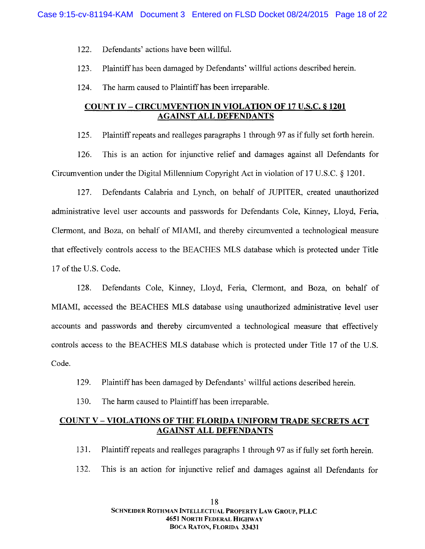- 122. Defendants' actions have been willful. 122. Defendants' actions have been willful.
- 123. Plaintiff has been dam aged by Defendants' willful actions described herein. 123. Plaintiff has been damaged by Defendants' willful actions described herein.
- 124. The harm caused to Plaintiff has been irreparable.

# COUNT IV – CIRCUMVENTION IN VIOLATION OF 17 U.S.C. § 1201 AGAINST ALL DEFENDANTS

Plaintiff repeats and realleges paragraphs 1 through 97 as if fully set forth herein. 125. Plaintiff repeats and realleges paragraphs 1 through 97 as if fully set forth herein.

This is an action for injunetive relief and damages against al1 Defendants for 126. This is an action for injunctive relief and damages against all Defendants for Circumvention under the Digital Millennium Copyright Act in violation of 17 U.S.C. § 1201.

127. Defendants Calabria and Lynch, on behalf of JUPITER, created unauthorized 127. Defendants Calabria and Lynch, on behalf of JUPITER, created unauthorized adm inistrative level user accounts and passwords for Defendants Cole, Kinney, Lloyd, Feria, administrative level user accounts and passwords for Defendants Cole, Kinney, Lloyd, Feria, Clermont, and Boza, on behalf of MIAMI, and thereby circumvented a technological measure that effectively controls access to the BEACHES MLS database which is protected under Title 17 of the U .S. Code. 17 of the U.S. Code.

128. Defendants Cole, Kinney, Lloyd, Feria, Clermont, and Boza, on behalf of 128. Defendants Cole, Kinney, Lloyd, Feria, Clermont, and Boza, on behalf of MIAMI, accessed the BEACHES MLS database using unauthorized administrative level user accounts and passwords and thereby circumvented a technological measure that effectively controls access to the BEACHES MLS database which is protected under Title 17 of the U.S. Code. Code.

- 129. Plaintiff has been damaged by Defendants' willful actions described herein. 129. Plaintiff has been damaged by Defendants' willful actions described herein.
- 130. The harm caused to Plaintiff has been irreparable.

# COUNT V - VIOLATIONS OF THE FLORIDA UNIFORM TRADE SECRETS ACT AGAINST ALL DEFENDANTS AGAINST ALL DEFENDANTS

- 131. Plaintiff repeats and realleges paragraphs 1 through 97 as if fully set forth herein. 131. Plaintiff repeats and realleges paragraphs 1 through 97 as if fully set forth herein.
- 132. This is an action for injunctive relief and damages against all Defendants for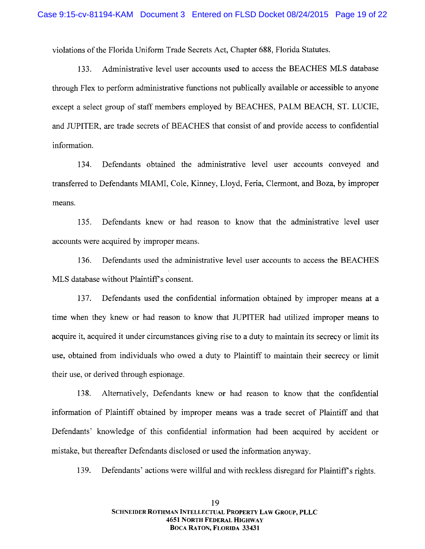violations of the Florida Unifonu Trade Secrets Act, Chapter 688, Florida Statutes. violations of the Florida Uniform Trade Secrets Act, Chapter 688, Florida Statutes.

133. Administrative level user accounts used to access the BEACHES MLS database through Flex to perform administrative functions not publically available or accessible to anyone except a select group of staff members employed by BEACHES, PALM BEACH, ST. LUCIE, and JUPITER, are trade secrets of BEACHES that consist of and provide access to confidential and JUPITER, are trade secrets of BEACHES that consist of and provide access to confidential information. information.

134. Defendants obtained the administrative level user accounts conveyed and transferred to Defendants MIAMI, Cole, Kinney, Lloyd, Feria, Clermont, and Boza, by improper m eans. means.

Defendants knew or had reason to know that the administrative level user 135. Defendants knew or had reason to know that the administrative level user accounts were acquired by improper means. accounts were acquired by improper means.

136. Defendants used the administrative level user accounts to access the BEACHES M LS database without Plaintiff s consent. MLS database without Plaintiff's consent.

137. Defendants used the confidential information obtained by improper means at a time when they knew or had reason to know that JUPITER had utilized improper means to acquire it, acquired it under circumstances giving rise to a duty to maintain its secrecy or limit its use, obtained from individuals who owed a duty to Plaintiff to maintain their secrecy or limit use, obtained from individuals who owed a duty to Plaintiff to maintain their secrecy or limit their use, or derived through espionage. their use, or derived through espionage.

138. Altem atively, Defendants knew or had reason to know that the confidential 138. Alternatively, Defendants knew or had reason to know that the confidential information of Plaintiff obtained by improper means was a trade secret of Plaintiff and that Defendants' knowledge of this confidential information had been acquired by accident or Defendants' knowledge of this confidential information had been acquired by accident or mistake, but thereafter Defendants disclosed or used the information anyway. mistake, but thereafter Defendants disclosed or used the information anyway.

139. Defendants' actions were willful and with reckless disregard for Plaintiff's rights.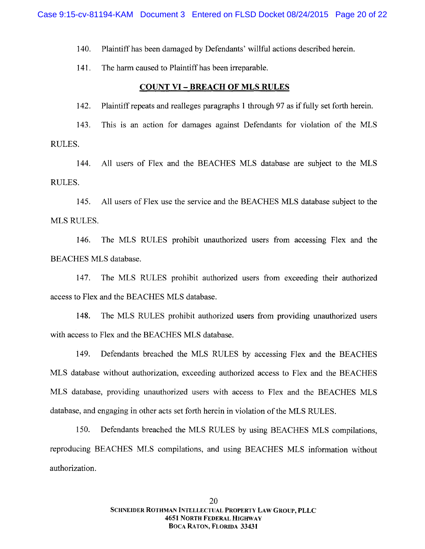140. Plaintiff has been damaged by Defendants' willful actions described herein.

The harm caused to Plaintiff has been irreparable. 141. The harm caused to Plaintiff has been irreparable.

# **COUNT VI - BREACH OF MLS RULES**

142. Plaintiff repeats and realleges paragraphs 1 through 97 as if fully set forth herein. 142. Plaintiff repeats and realleges paragraphs 1 through 97 as if fully set forth herein.

143. This is an action for damages against Defendants for violation of the MLS RULES. RULES.

144. All users of Flex and the BEACHES MLS database are subject to the MLS RULES. RULES.

145. MLS RULES. 145. All users of Flex use the service and the BEACHES MLS database subject to the

146. The MLS RULES prohibit unauthorized users from accessing Flex and the BEACHES MLS database.

147. The MLS RULES prohibit authorized users from exceeding their authorized access to Flex and the BEACHES MLS database.

148. The MLS RULES prohibit authorized users from providing unauthorized users with access to Flex and the BEACHES MLS database.

149. Defendants breached the MLS RULES by accessing Flex and the BEACHES MLS database without authorization, exceeding authorized access to Flex and the BEACHES MLS database, providing unauthorized users with access to Flex and the BEACHES MLS database, and engaging in other acts set forth herein in violation of the MLS RULES.

150. Defendants breached the MLS RULES by using BEACHES MLS compilations, reproducing BEACHES MLS compilations, and using BEACHES MLS information without authorization. authorization.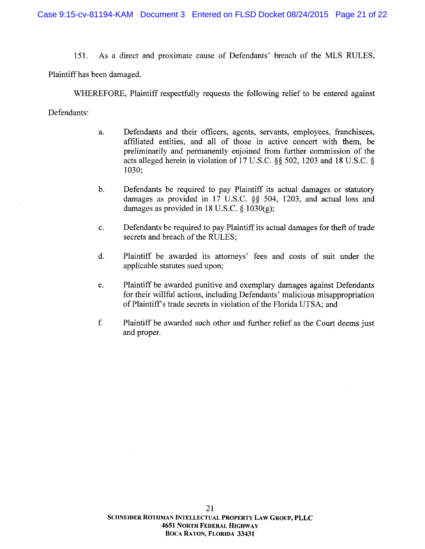151. As a direct and proximate cause of Defendants' breach of the MLS RULES,

Plaintiff has been dam aged. Plaintiff has been damaged.

W HEREFORE, Plaintiff respedfully requests the following relief to be entered against WHEREFORE, Plaintiff respectfully requests the following relief to be entered against

Defendants: Defendants:

- a. Defendants and their officers, agents, servants, employees, franchisees, a. Defendants and their officers, agents, servants, employees, franchisees, affiliated entities, and all of those in active concert with them, be preliminarily and permanently enjoined from further commission of the preliminarily and permanently enjoined from further commission of the acts alleged herein in violation of 17 U.S.C.  $\S$ § 502, 1203 and 18 U.S.C. § 1030; 1030;
- b. Defendants be required to pay Plaintiff its actual damages or statutory damages as provided in 17 U.S.C. §§ 504, 1203, and actual loss and damages as provided in 18 U.S.C.  $\S$  1030(g); b.
- Defendants be required to pay Plaintiff its actual damages for theft of trade c. Defendants be required to pay Plaintiff its actual damages for theft of trade secrets and breach of the RULES;
- d. Plaintiff be awarded its attorneys' fees and costs of suit under the d. Plaintiff be awarded its attorneys' fees and costs of suit under the applicable statutes sued upon; applicable statutes sued upon;
- Plaintiff be awarded punitive and exemplary dam ages against Defendants e. Plaintiff be awarded punitive and exemplary damages against Defendants for their willful actions, including Defendants' malicious misappropriation of Plaintiff's trade secrets in violation of the Florida UTSA; and
- Plaintiff be awarded such other and further relief asthe Court deems just f. Plaintiff be awarded such other and further relief as the Court deems just and proper.